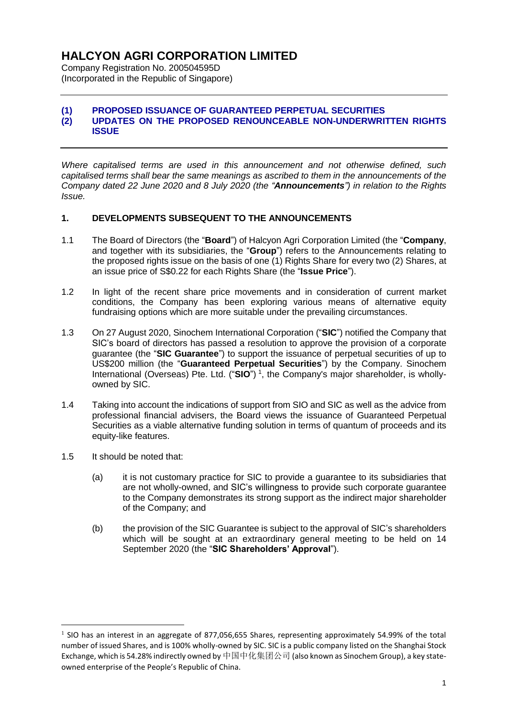Company Registration No. 200504595D (Incorporated in the Republic of Singapore)

#### **(1) PROPOSED ISSUANCE OF GUARANTEED PERPETUAL SECURITIES (2) UPDATES ON THE PROPOSED RENOUNCEABLE NON-UNDERWRITTEN RIGHTS ISSUE**

*Where capitalised terms are used in this announcement and not otherwise defined, such capitalised terms shall bear the same meanings as ascribed to them in the announcements of the Company dated 22 June 2020 and 8 July 2020 (the "Announcements") in relation to the Rights Issue.*

### **1. DEVELOPMENTS SUBSEQUENT TO THE ANNOUNCEMENTS**

- 1.1 The Board of Directors (the "**Board**") of Halcyon Agri Corporation Limited (the "**Company**, and together with its subsidiaries, the "**Group**") refers to the Announcements relating to the proposed rights issue on the basis of one (1) Rights Share for every two (2) Shares, at an issue price of S\$0.22 for each Rights Share (the "**Issue Price**").
- 1.2 In light of the recent share price movements and in consideration of current market conditions, the Company has been exploring various means of alternative equity fundraising options which are more suitable under the prevailing circumstances.
- 1.3 On 27 August 2020, Sinochem International Corporation ("**SIC**") notified the Company that SIC's board of directors has passed a resolution to approve the provision of a corporate guarantee (the "**SIC Guarantee**") to support the issuance of perpetual securities of up to US\$200 million (the "**Guaranteed Perpetual Securities**") by the Company. Sinochem International (Overseas) Pte. Ltd. ("**SIO**") 1 , the Company's major shareholder, is whollyowned by SIC.
- 1.4 Taking into account the indications of support from SIO and SIC as well as the advice from professional financial advisers, the Board views the issuance of Guaranteed Perpetual Securities as a viable alternative funding solution in terms of quantum of proceeds and its equity-like features.
- 1.5 It should be noted that:

1

- (a) it is not customary practice for SIC to provide a guarantee to its subsidiaries that are not wholly-owned, and SIC's willingness to provide such corporate guarantee to the Company demonstrates its strong support as the indirect major shareholder of the Company; and
- (b) the provision of the SIC Guarantee is subject to the approval of SIC's shareholders which will be sought at an extraordinary general meeting to be held on 14 September 2020 (the "**SIC Shareholders' Approval**").

 $<sup>1</sup>$  SIO has an interest in an aggregate of 877,056,655 Shares, representing approximately 54.99% of the total</sup> number of issued Shares, and is 100% wholly-owned by SIC. SIC is a public company listed on the Shanghai Stock Exchange, which is 54.28% indirectly owned by 中国中化集团公司 (also known as Sinochem Group), a key stateowned enterprise of the People's Republic of China.